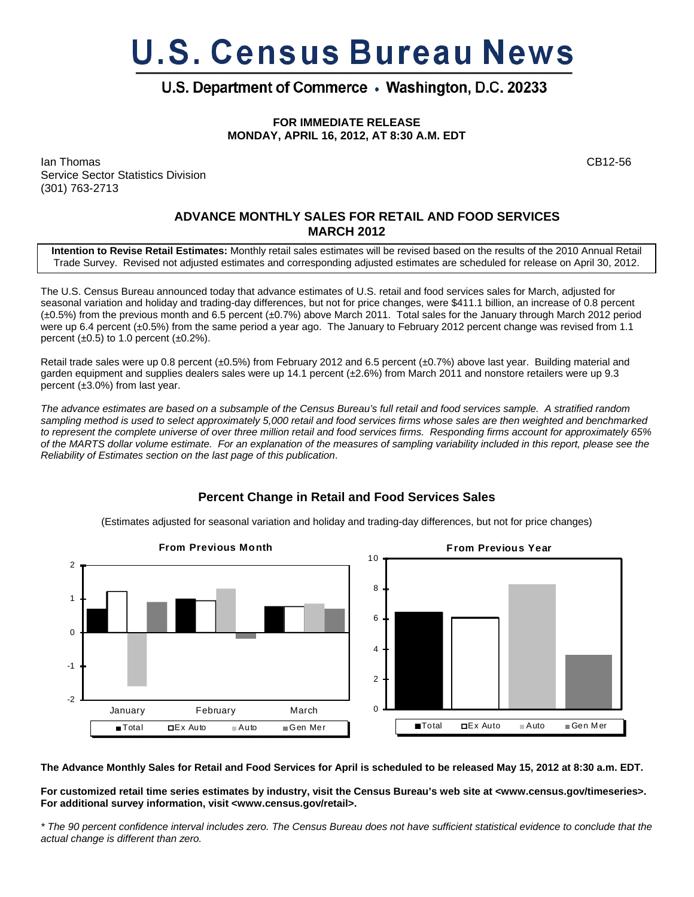# **U.S. Census Bureau News**

# U.S. Department of Commerce . Washington, D.C. 20233

**FOR IMMEDIATE RELEASE MONDAY, APRIL 16, 2012, AT 8:30 A.M. EDT**

Ian Thomas CB12-56 Service Sector Statistics Division (301) 763-2713

## **ADVANCE MONTHLY SALES FOR RETAIL AND FOOD SERVICES MARCH 2012**

**Intention to Revise Retail Estimates:** Monthly retail sales estimates will be revised based on the results of the 2010 Annual Retail Trade Survey. Revised not adjusted estimates and corresponding adjusted estimates are scheduled for release on April 30, 2012.

The U.S. Census Bureau announced today that advance estimates of U.S. retail and food services sales for March, adjusted for seasonal variation and holiday and trading-day differences, but not for price changes, were \$411.1 billion, an increase of 0.8 percent (±0.5%) from the previous month and 6.5 percent (±0.7%) above March 2011. Total sales for the January through March 2012 period were up 6.4 percent (±0.5%) from the same period a year ago. The January to February 2012 percent change was revised from 1.1 percent  $(\pm 0.5)$  to 1.0 percent  $(\pm 0.2\%)$ .

Retail trade sales were up 0.8 percent (±0.5%) from February 2012 and 6.5 percent (±0.7%) above last year. Building material and garden equipment and supplies dealers sales were up 14.1 percent (±2.6%) from March 2011 and nonstore retailers were up 9.3 percent (±3.0%) from last year.

*The advance estimates are based on a subsample of the Census Bureau's full retail and food services sample. A stratified random sampling method is used to select approximately 5,000 retail and food services firms whose sales are then weighted and benchmarked to represent the complete universe of over three million retail and food services firms. Responding firms account for approximately 65% of the MARTS dollar volume estimate. For an explanation of the measures of sampling variability included in this report, please see the Reliability of Estimates section on the last page of this publication*.

## **Percent Change in Retail and Food Services Sales**

(Estimates adjusted for seasonal variation and holiday and trading-day differences, but not for price changes)



**The Advance Monthly Sales for Retail and Food Services for April is scheduled to be released May 15, 2012 at 8:30 a.m. EDT.** 

**For customized retail time series estimates by industry, visit the Census Bureau's web site at <www.census.gov/timeseries>. For additional survey information, visit <www.census.gov/retail>.**

*\* The 90 percent confidence interval includes zero. The Census Bureau does not have sufficient statistical evidence to conclude that the actual change is different than zero.*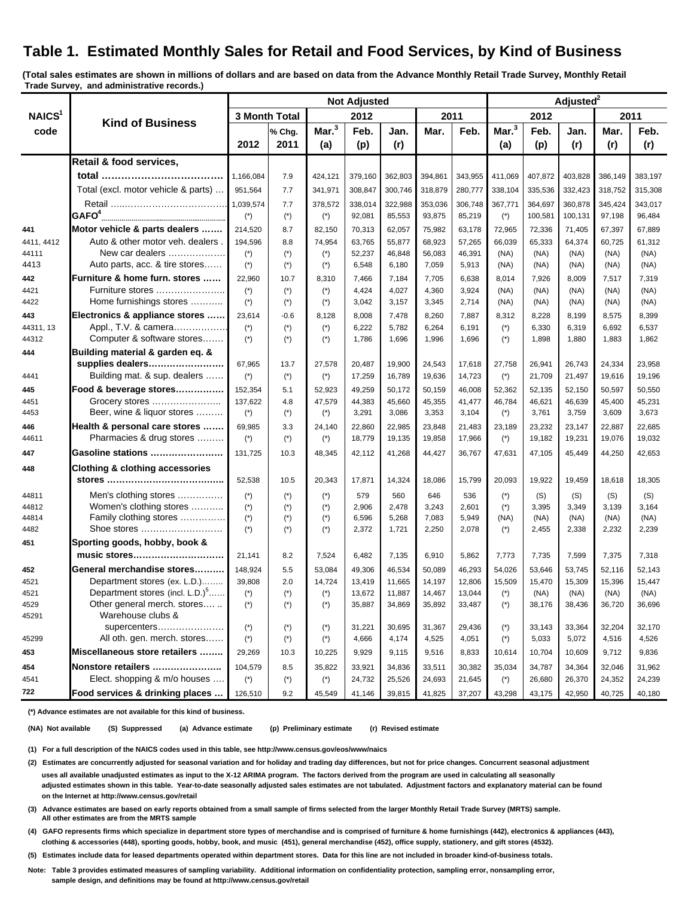# **Table 1. Estimated Monthly Sales for Retail and Food Services, by Kind of Business**

**(Total sales estimates are shown in millions of dollars and are based on data from the Advance Monthly Retail Trade Survey, Monthly Retail Trade Survey, and administrative records.)**

|                            | <b>Kind of Business</b>                              | <b>Not Adjusted</b>   |                       |                   |                  |                  |                  |                  | Adjusted <sup>2</sup> |                  |                  |                  |                  |
|----------------------------|------------------------------------------------------|-----------------------|-----------------------|-------------------|------------------|------------------|------------------|------------------|-----------------------|------------------|------------------|------------------|------------------|
| NAICS <sup>1</sup><br>code |                                                      | 3 Month Total         |                       | 2012              |                  | 2011             |                  | 2012             |                       | 2011             |                  |                  |                  |
|                            |                                                      |                       | % Chg.                | Mar. <sup>3</sup> | Feb.             | Jan.             | Mar.             | Feb.             | Mar. <sup>3</sup>     | Feb.             | Jan.             | Mar.             | Feb.             |
|                            |                                                      | 2012                  | 2011                  | (a)               | (p)              | (r)              |                  |                  | (a)                   | (p)              | (r)              | (r)              | (r)              |
|                            | Retail & food services,                              |                       |                       |                   |                  |                  |                  |                  |                       |                  |                  |                  |                  |
|                            |                                                      | 1,166,084             | 7.9                   | 424,121           | 379,160          | 362,803          | 394,861          | 343,955          | 411,069               | 407,872          | 403,828          | 386,149          | 383,197          |
|                            | Total (excl. motor vehicle & parts)                  | 951,564               | 7.7                   | 341,971           | 308,847          | 300,746          | 318,879          | 280,777          | 338,104               | 335,536          | 332,423          | 318,752          | 315,308          |
|                            |                                                      | 1,039,574             | 7.7                   | 378,572           | 338,014          | 322,988          | 353,036          | 306.748          | 367,771               | 364,697          | 360,878          | 345,424          | 343,017          |
|                            | GAFO <sup>4</sup>                                    | $(*)$                 | $(*)$                 | $(\dot{z})$       | 92,081           | 85,553           | 93,875           | 85,219           | $(\dot{z})$           | 100,581          | 100,131          | 97,198           | 96,484           |
| 441                        | Motor vehicle & parts dealers                        | 214,520               | 8.7                   | 82,150            | 70,313           | 62,057           | 75,982           | 63,178           | 72,965                | 72,336           | 71,405           | 67,397           | 67,889           |
| 4411, 4412                 | Auto & other motor veh. dealers.                     | 194,596               | 8.8                   | 74,954            | 63,765           | 55,877           | 68,923           | 57,265           | 66,039                | 65,333           | 64,374           | 60,725           | 61,312           |
| 44111                      | New car dealers                                      | $(*)$                 | $(*)$                 | $(*)$             | 52,237           | 46,848           | 56,083           | 46,391           | (NA)                  | (NA)             | (NA)             | (NA)             | (NA)             |
| 4413                       | Auto parts, acc. & tire stores                       | $(*)$                 | $(*)$                 | $(*)$             | 6,548            | 6,180            | 7,059            | 5,913            | (NA)                  | (NA)             | (NA)             | (NA)             | (NA)             |
| 442                        | Furniture & home furn. stores                        | 22,960                | 10.7                  | 8,310             | 7,466            | 7,184            | 7,705            | 6,638            | 8,014                 | 7,926            | 8,009            | 7,517            | 7,319            |
| 4421                       | Furniture stores                                     | $(*)$                 | $(*)$                 | $(*)$             | 4,424            | 4,027            | 4,360            | 3,924            | (NA)                  | (NA)             | (NA)             | (NA)             | (NA)             |
| 4422                       | Home furnishings stores                              | $(*)$                 | $(*)$                 | $(*)$             | 3,042            | 3,157            | 3,345            | 2,714            | (NA)                  | (NA)             | (NA)             | (NA)             | (NA)             |
| 443                        | Electronics & appliance stores                       | 23,614                | $-0.6$                | 8,128             | 8,008            | 7,478            | 8,260            | 7,887            | 8,312                 | 8,228            | 8,199            | 8,575            | 8,399            |
| 44311.13<br>44312          | Appl., T.V. & camera<br>Computer & software stores   | $(\dot{z})$           | $(*)$                 | $(*)$             | 6,222            | 5,782            | 6,264            | 6,191            | $(*)$                 | 6,330            | 6,319            | 6,692            | 6,537            |
|                            |                                                      | $(\dot{z})$           | $(*)$                 | $(*)$             | 1,786            | 1,696            | 1,996            | 1,696            | $(*)$                 | 1,898            | 1,880            | 1,883            | 1,862            |
| 444                        | Building material & garden eq. &<br>supplies dealers |                       |                       | 27,578            |                  |                  | 24,543           |                  |                       | 26,941           | 26,743           |                  | 23,958           |
| 4441                       | Building mat. & sup. dealers                         | 67,965<br>$(*)$       | 13.7<br>$(*)$         | $(*)$             | 20,487<br>17,259 | 19,900<br>16,789 | 19,636           | 17,618<br>14,723 | 27,758<br>$(*)$       | 21,709           | 21,497           | 24,334<br>19,616 | 19,196           |
|                            |                                                      | 152,354               |                       |                   |                  |                  |                  |                  |                       |                  |                  |                  |                  |
| 445<br>4451                | Food & beverage stores<br>Grocery stores             | 137,622               | 5.1<br>4.8            | 52,923<br>47,579  | 49,259<br>44,383 | 50,172<br>45,660 | 50,159<br>45,355 | 46,008<br>41,477 | 52,362<br>46,784      | 52,135<br>46,621 | 52,150<br>46,639 | 50,597<br>45,400 | 50,550<br>45,231 |
| 4453                       | Beer, wine & liquor stores                           | $(*)$                 | $(*)$                 | $(*)$             | 3,291            | 3,086            | 3,353            | 3,104            | $(*)$                 | 3,761            | 3,759            | 3,609            | 3,673            |
| 446                        | Health & personal care stores                        | 69,985                | 3.3                   | 24,140            | 22,860           | 22,985           | 23,848           | 21,483           | 23,189                | 23,232           | 23,147           | 22,887           | 22,685           |
| 44611                      | Pharmacies & drug stores                             | $(*)$                 | $(*)$                 | $(*)$             | 18,779           | 19,135           | 19,858           | 17,966           | $(*)$                 | 19,182           | 19,231           | 19,076           | 19,032           |
| 447                        | Gasoline stations                                    | 131,725               | 10.3                  | 48,345            | 42,112           | 41,268           | 44,427           | 36,767           | 47,631                | 47,105           | 45,449           | 44,250           | 42,653           |
| 448                        | <b>Clothing &amp; clothing accessories</b>           |                       |                       |                   |                  |                  |                  |                  |                       |                  |                  |                  |                  |
|                            |                                                      | 52,538                | 10.5                  | 20,343            | 17,871           | 14,324           | 18,086           | 15,799           | 20,093                | 19,922           | 19,459           | 18,618           | 18,305           |
| 44811                      | Men's clothing stores                                | $(*)$                 | $(*)$                 | $(*)$             | 579              | 560              | 646              | 536              | $(*)$                 | (S)              | (S)              | (S)              | (S)              |
| 44812                      | Women's clothing stores                              | $(*)$                 | $(*)$                 | $(*)$             | 2,906            | 2,478            | 3,243            | 2,601            | $(*)$                 | 3,395            | 3,349            | 3,139            | 3,164            |
| 44814                      | Family clothing stores                               | $(\dot{z})$           | $(\dot{\phantom{a}})$ | $(*)$             | 6,596            | 5,268            | 7,083            | 5,949            | (NA)                  | (NA)             | (NA)             | (NA)             | (NA)             |
| 4482                       | Shoe stores                                          | $(\dot{z})$           | $(*)$                 | $(*)$             | 2,372            | 1,721            | 2,250            | 2,078            | $(*)$                 | 2,455            | 2,338            | 2,232            | 2,239            |
| 451                        | Sporting goods, hobby, book &                        |                       |                       |                   |                  |                  |                  |                  |                       |                  |                  |                  |                  |
|                            | music stores                                         | 21,141                | 8.2                   | 7,524             | 6,482            | 7,135            | 6,910            | 5,862            | 7,773                 | 7,735            | 7,599            | 7,375            | 7,318            |
| 452                        | General merchandise stores                           | 148,924               | 5.5                   | 53,084            | 49,306           | 46,534           | 50,089           | 46,293           | 54,026                | 53,646           | 53,745           | 52,116           | 52,143           |
| 4521                       | Department stores (ex. L.D.)                         | 39,808                | 2.0                   | 14,724            | 13,419           | 11,665           | 14,197           | 12,806           | 15,509                | 15,470           | 15,309           | 15,396           | 15,447           |
| 4521                       | Department stores (incl. L.D.) <sup>5</sup>          | $(\dot{\phantom{a}})$ | $(*)$                 | $(*)$             | 13,672           | 11,887           | 14,467           | 13,044           | $(\dot{z})$           | (NA)             | (NA)             | (NA)             | (NA)             |
| 4529                       | Other general merch. stores                          | $(\dot{z})$           | $(\dot{\phantom{a}})$ | $(*)$             | 35,887           | 34,869           | 35,892           | 33,487           | $(*)$                 | 38,176           | 38,436           | 36,720           | 36,696           |
| 45291                      | Warehouse clubs &                                    |                       |                       |                   |                  |                  |                  |                  |                       |                  |                  |                  |                  |
|                            | supercenters                                         | $(\dot{\phantom{a}})$ | $(*)$                 | $(*)$             | 31,221           | 30,695           | 31,367           | 29,436           | $(*)$                 | 33,143           | 33,364           | 32,204           | 32,170           |
| 45299                      | All oth. gen. merch. stores                          | $(\dot{z})$           | $(*)$                 | $(*)$             | 4,666            | 4,174            | 4,525            | 4,051            | $(*)$                 | 5,033            | 5,072            | 4,516            | 4,526            |
| 453                        | Miscellaneous store retailers                        | 29,269                | 10.3                  | 10,225            | 9,929            | 9,115            | 9,516            | 8,833            | 10,614                | 10,704           | 10,609           | 9,712            | 9,836            |
| 454                        | Nonstore retailers                                   | 104,579               | 8.5                   | 35,822            | 33,921           | 34,836           | 33,511           | 30,382           | 35,034                | 34,787           | 34,364           | 32,046           | 31,962           |
| 4541                       | Elect. shopping & m/o houses                         | $(*)$                 | $(\dot{\phantom{a}})$ | $(\star)$         | 24,732           | 25,526           | 24,693           | 21,645           | $(*)$                 | 26,680           | 26,370           | 24,352           | 24,239           |
| 722                        | Food services & drinking places                      | 126,510               | 9.2                   | 45,549            | 41,146           | 39,815           | 41,825           | 37,207           | 43,298                | 43,175           | 42,950           | 40,725           | 40,180           |

 **(\*) Advance estimates are not available for this kind of business.**

 **(NA) Not available (S) Suppressed (a) Advance estimate (p) Preliminary estimate (r) Revised estimate**

 **(1) For a full description of the NAICS codes used in this table, see http://www.census.gov/eos/www/naics**

 **(2) Estimates are concurrently adjusted for seasonal variation and for holiday and trading day differences, but not for price changes. Concurrent seasonal adjustment uses all available unadjusted estimates as input to the X-12 ARIMA program. The factors derived from the program are used in calculating all seasonally**

 **adjusted estimates shown in this table. Year-to-date seasonally adjusted sales estimates are not tabulated. Adjustment factors and explanatory material can be found on the Internet at http://www.census.gov/retail**

 **(3) Advance estimates are based on early reports obtained from a small sample of firms selected from the larger Monthly Retail Trade Survey (MRTS) sample. All other estimates are from the MRTS sample**

 **(4) GAFO represents firms which specialize in department store types of merchandise and is comprised of furniture & home furnishings (442), electronics & appliances (443), clothing & accessories (448), sporting goods, hobby, book, and music (451), general merchandise (452), office supply, stationery, and gift stores (4532).**

 **(5) Estimates include data for leased departments operated within department stores. Data for this line are not included in broader kind-of-business totals.**

 **Note: Table 3 provides estimated measures of sampling variability. Additional information on confidentiality protection, sampling error, nonsampling error, sample design, and definitions may be found at http://www.census.gov/retail**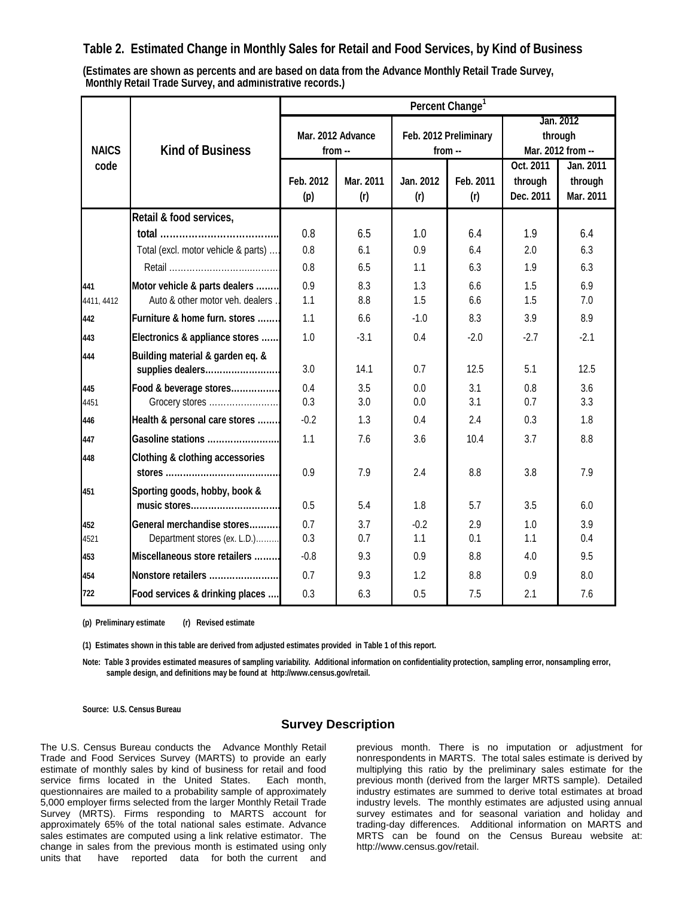## **Table 2. Estimated Change in Monthly Sales for Retail and Food Services, by Kind of Business**

**Monthly Retail Trade Survey, and administrative records.) (Estimates are shown as percents and are based on data from the Advance Monthly Retail Trade Survey,**

|                   |                                                                   | Percent Change <sup>1</sup>   |                  |                  |                       |                                           |                                   |  |  |  |
|-------------------|-------------------------------------------------------------------|-------------------------------|------------------|------------------|-----------------------|-------------------------------------------|-----------------------------------|--|--|--|
| <b>NAICS</b>      | <b>Kind of Business</b>                                           | Mar. 2012 Advance<br>$from -$ |                  | from --          | Feb. 2012 Preliminary | Jan. 2012<br>through<br>Mar. 2012 from -- |                                   |  |  |  |
| code              |                                                                   | Feb. 2012<br>(p)              | Mar. 2011<br>(r) | Jan. 2012<br>(r) | Feb. 2011<br>(r)      | Oct. 2011<br>through<br>Dec. 2011         | Jan. 2011<br>through<br>Mar. 2011 |  |  |  |
|                   | Retail & food services,                                           |                               |                  |                  |                       |                                           |                                   |  |  |  |
|                   |                                                                   | 0.8                           | 6.5              | 1.0              | 6.4                   | 1.9                                       | 6.4                               |  |  |  |
|                   | Total (excl. motor vehicle & parts)                               | 0.8                           | 6.1              | 0.9              | 6.4                   | 2.0                                       | 6.3                               |  |  |  |
|                   |                                                                   | 0.8                           | 6.5              | 1.1              | 6.3                   | 1.9                                       | 6.3                               |  |  |  |
| 441<br>4411, 4412 | Motor vehicle & parts dealers<br>Auto & other motor veh. dealers. | 0.9<br>1.1                    | 8.3<br>8.8       | 1.3<br>1.5       | 6.6<br>6.6            | 1.5<br>1.5                                | 6.9<br>7.0                        |  |  |  |
| 442               | Furniture & home furn. stores                                     | 1.1                           | 6.6              | $-1.0$           | 8.3                   | 3.9                                       | 8.9                               |  |  |  |
| 443               | Electronics & appliance stores                                    | 1.0                           | $-3.1$           | 0.4              | $-2.0$                | $-2.7$                                    | $-2.1$                            |  |  |  |
| 444               | Building material & garden eq. &<br>supplies dealers              | 3.0                           | 14.1             | 0.7              | 12.5                  | 5.1                                       | 12.5                              |  |  |  |
| 445<br>4451       | Food & beverage stores<br>Grocery stores                          | 0.4<br>0.3                    | 3.5<br>3.0       | 0.0<br>0.0       | 3.1<br>3.1            | 0.8<br>0.7                                | 3.6<br>3.3                        |  |  |  |
| 446               | Health & personal care stores                                     | $-0.2$                        | 1.3              | 0.4              | 2.4                   | 0.3                                       | 1.8                               |  |  |  |
| 447               | Gasoline stations                                                 | 1.1                           | 7.6              | 3.6              | 10.4                  | 3.7                                       | 8.8                               |  |  |  |
| 448               | <b>Clothing &amp; clothing accessories</b>                        | 0.9                           | 7.9              | 2.4              | 8.8                   | 3.8                                       | 7.9                               |  |  |  |
| 451               | Sporting goods, hobby, book &<br>music stores                     | 0.5                           | 5.4              | 1.8              | 5.7                   | 3.5                                       | 6.0                               |  |  |  |
| 452<br>4521       | General merchandise stores<br>Department stores (ex. L.D.)        | 0.7<br>0.3                    | 3.7<br>0.7       | $-0.2$<br>1.1    | 2.9<br>0.1            | 1.0<br>1.1                                | 3.9<br>0.4                        |  |  |  |
| 453               | Miscellaneous store retailers                                     | $-0.8$                        | 9.3              | 0.9              | 8.8                   | 4.0                                       | 9.5                               |  |  |  |
| 454               | Nonstore retailers                                                | 0.7                           | 9.3              | 1.2              | 8.8                   | 0.9                                       | 8.0                               |  |  |  |
| 722               | Food services & drinking places                                   | 0.3                           | 6.3              | 0.5              | 7.5                   | 2.1                                       | 7.6                               |  |  |  |

**(p) Preliminary estimate (r) Revised estimate**

**(1) Estimates shown in this table are derived from adjusted estimates provided in Table 1 of this report.**

**Note: Table 3 provides estimated measures of sampling variability. Additional information on confidentiality protection, sampling error, nonsampling error, sample design, and definitions may be found at http://www.census.gov/retail.**

**Source: U.S. Census Bureau**

#### **Survey Description**

The U.S. Census Bureau conducts the Advance Monthly Retail Trade and Food Services Survey (MARTS) to provide an early estimate of monthly sales by kind of business for retail and food service firms located in the United States. Each month, questionnaires are mailed to a probability sample of approximately 5,000 employer firms selected from the larger Monthly Retail Trade Survey (MRTS). Firms responding to MARTS account for approximately 65% of the total national sales estimate. Advance sales estimates are computed using a link relative estimator. The change in sales from the previous month is estimated using only<br>units that shave seported data for both the current and have reported data for both the current and

previous month. There is no imputation or adjustment for nonrespondents in MARTS. The total sales estimate is derived by multiplying this ratio by the preliminary sales estimate for the previous month (derived from the larger MRTS sample). Detailed industry estimates are summed to derive total estimates at broad industry levels. The monthly estimates are adjusted using annual survey estimates and for seasonal variation and holiday and trading-day differences. Additional information on MARTS and MRTS can be found on the Census Bureau website at: http://www.census.gov/retail.